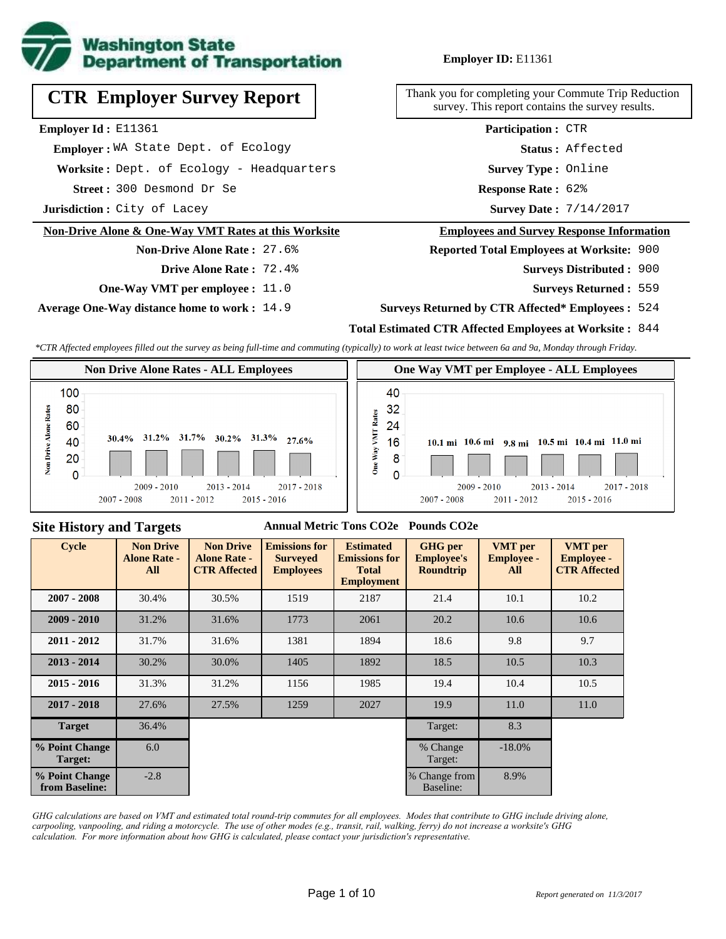

## **Employer ID:** E11361

**CTR Employer Survey Report**

**Employer Id :** E11361

 **Employer :** WA State Dept. of Ecology

**Worksite :** Dept. of Ecology - Headquarters

300 Desmond Dr Se **Response Rate : Street :**

**Jurisdiction :** City of Lacey

#### **Non-Drive Alone & One-Way VMT Rates at this Worksite**

**Non-Drive Alone Rate :** 27.6%

- **Drive Alone Rate :** 72.4%
- **One-Way VMT per employee :** 11.0

**Average One-Way distance home to work :** 14.9

Thank you for completing your Commute Trip Reduction survey. This report contains the survey results.

> **Survey Type :** Online **Status :** Affected **Participation :** CTR

Response Rate: 62%

Survey Date:  $7/14/2017$ 

#### **Employees and Survey Response Information**

**Reported Total Employees at Worksite:** 900

- Surveys Distributed : 900
	- **Surveys Returned :** 559

#### **Surveys Returned by CTR Affected\* Employees :** 524

## **Total Estimated CTR Affected Employees at Worksite :** 844

*\*CTR Affected employees filled out the survey as being full-time and commuting (typically) to work at least twice between 6a and 9a, Monday through Friday.*



#### **Site History and Targets**

#### **Annual Metric Tons CO2e Pounds CO2e**

| <b>Cycle</b>                     | <b>Non Drive</b><br><b>Alone Rate -</b><br>All | <b>Non Drive</b><br><b>Alone Rate -</b><br><b>CTR Affected</b> | <b>Emissions for</b><br><b>Surveyed</b><br><b>Employees</b> | <b>Estimated</b><br><b>Emissions for</b><br><b>Total</b><br><b>Employment</b> | <b>GHG</b> per<br><b>Employee's</b><br><b>Roundtrip</b> | <b>VMT</b> per<br><b>Employee -</b><br>All | <b>VMT</b> per<br><b>Employee -</b><br><b>CTR Affected</b> |
|----------------------------------|------------------------------------------------|----------------------------------------------------------------|-------------------------------------------------------------|-------------------------------------------------------------------------------|---------------------------------------------------------|--------------------------------------------|------------------------------------------------------------|
| $2007 - 2008$                    | 30.4%                                          | 30.5%                                                          | 1519                                                        | 2187                                                                          | 21.4                                                    | 10.1                                       | 10.2                                                       |
| $2009 - 2010$                    | 31.2%                                          | 31.6%                                                          | 1773                                                        | 2061                                                                          | 20.2                                                    | 10.6                                       | 10.6                                                       |
| $2011 - 2012$                    | 31.7%                                          | 31.6%                                                          | 1381                                                        | 1894                                                                          | 18.6                                                    | 9.8                                        | 9.7                                                        |
| $2013 - 2014$                    | 30.2%                                          | 30.0%                                                          | 1405                                                        | 1892                                                                          | 18.5                                                    | 10.5                                       | 10.3                                                       |
| $2015 - 2016$                    | 31.3%                                          | 31.2%                                                          | 1156                                                        | 1985                                                                          | 19.4                                                    | 10.4                                       | 10.5                                                       |
| $2017 - 2018$                    | 27.6%                                          | 27.5%                                                          | 1259                                                        | 2027                                                                          | 19.9                                                    | 11.0                                       | 11.0                                                       |
| <b>Target</b>                    | 36.4%                                          |                                                                |                                                             |                                                                               | Target:                                                 | 8.3                                        |                                                            |
| % Point Change<br>Target:        | 6.0                                            |                                                                |                                                             |                                                                               | % Change<br>Target:                                     | $-18.0\%$                                  |                                                            |
| % Point Change<br>from Baseline: | $-2.8$                                         |                                                                |                                                             |                                                                               | % Change from<br>Baseline:                              | 8.9%                                       |                                                            |

*GHG calculations are based on VMT and estimated total round-trip commutes for all employees. Modes that contribute to GHG include driving alone, carpooling, vanpooling, and riding a motorcycle. The use of other modes (e.g., transit, rail, walking, ferry) do not increase a worksite's GHG calculation. For more information about how GHG is calculated, please contact your jurisdiction's representative.*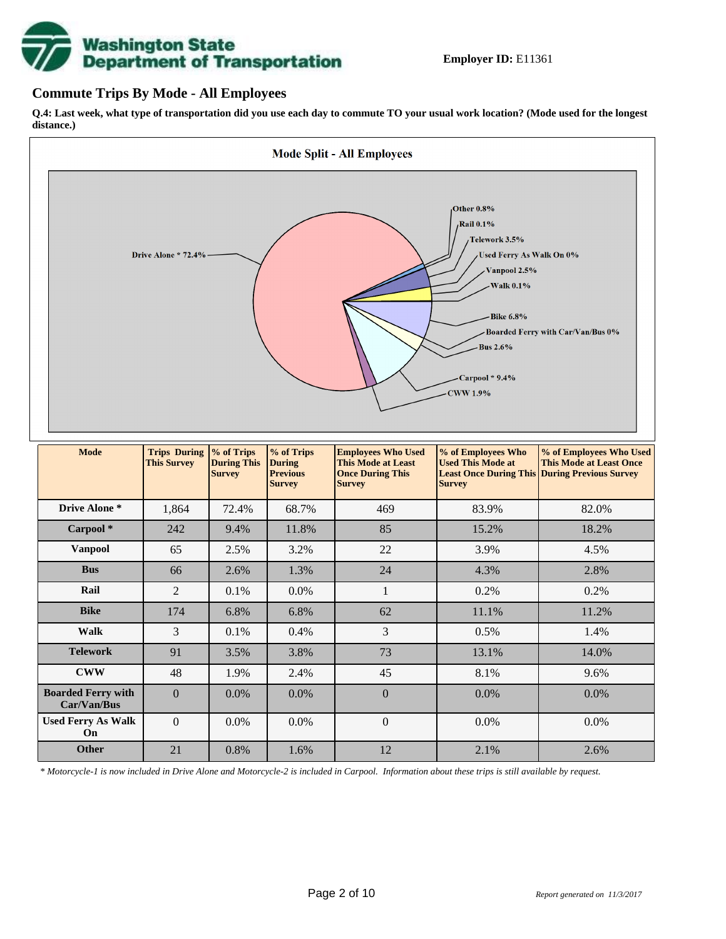# **Washington State<br>Department of Transportation**

## **Commute Trips By Mode - All Employees**

**Q.4: Last week, what type of transportation did you use each day to commute TO your usual work location? (Mode used for the longest distance.)**



*\* Motorcycle-1 is now included in Drive Alone and Motorcycle-2 is included in Carpool. Information about these trips is still available by request.*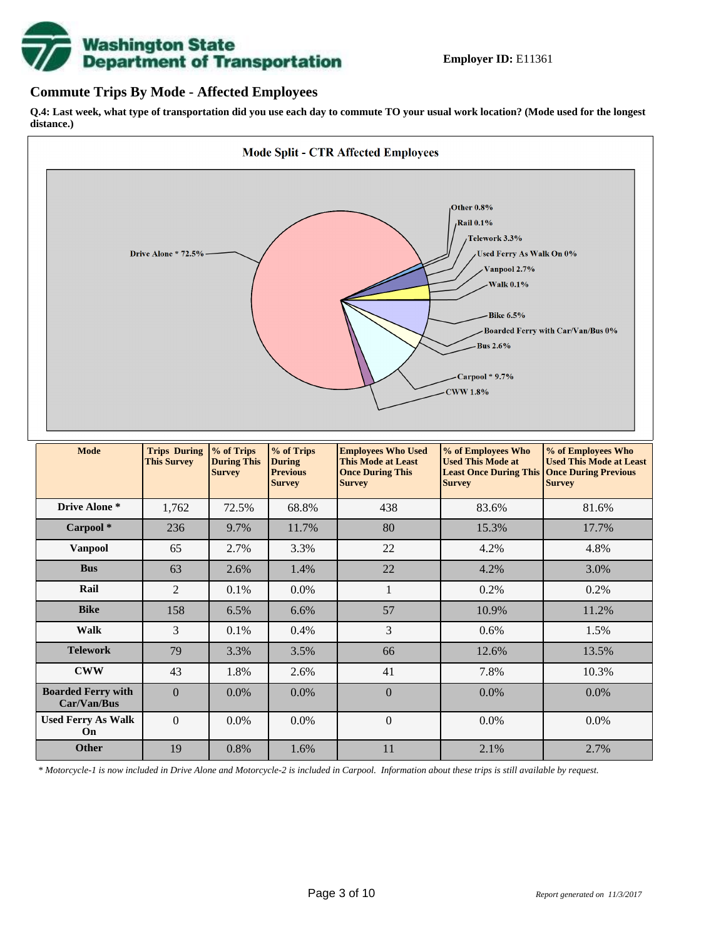

## **Commute Trips By Mode - Affected Employees**

**Q.4: Last week, what type of transportation did you use each day to commute TO your usual work location? (Mode used for the longest distance.)**



*\* Motorcycle-1 is now included in Drive Alone and Motorcycle-2 is included in Carpool. Information about these trips is still available by request.*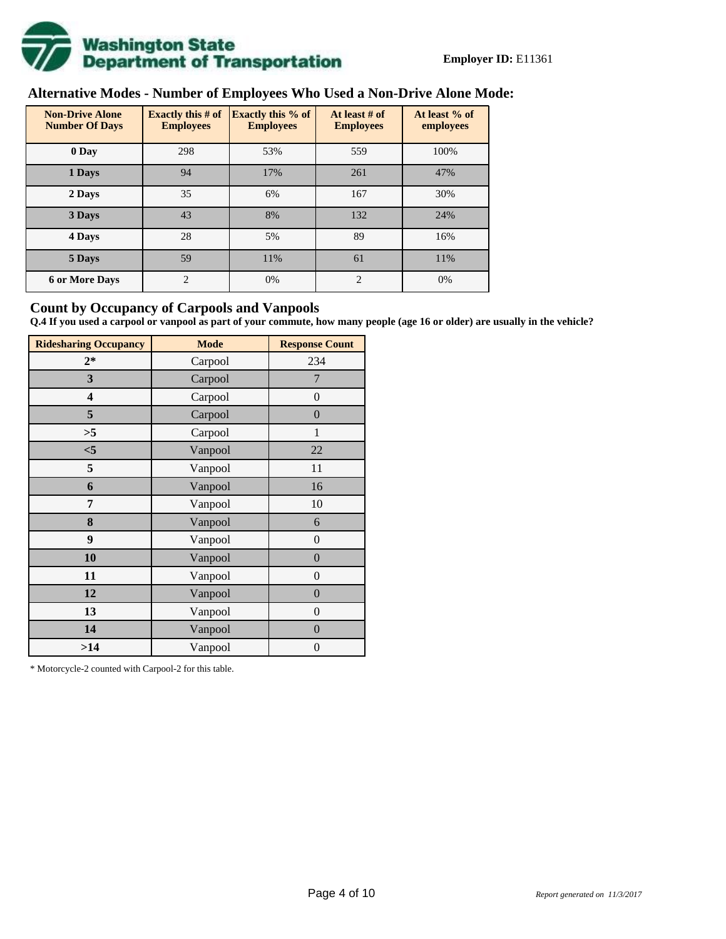

# **Alternative Modes - Number of Employees Who Used a Non-Drive Alone Mode:**

| <b>Non-Drive Alone</b><br><b>Number Of Days</b> | <b>Exactly this # of</b><br><b>Employees</b> | <b>Exactly this % of</b><br><b>Employees</b> | At least # of<br><b>Employees</b> | At least % of<br>employees |
|-------------------------------------------------|----------------------------------------------|----------------------------------------------|-----------------------------------|----------------------------|
| 0 Day                                           | 298                                          | 53%                                          | 559                               | 100%                       |
| 1 Days                                          | 94                                           | 17%                                          | 261                               | 47%                        |
| 2 Days                                          | 35                                           | 6%                                           | 167                               | 30%                        |
| 3 Days                                          | 43                                           | 8%                                           | 132                               | 24%                        |
| 4 Days                                          | 28                                           | 5%                                           | 89                                | 16%                        |
| 5 Days                                          | 59                                           | 11%                                          | 61                                | 11%                        |
| <b>6 or More Days</b>                           | $\overline{c}$                               | 0%                                           | 2                                 | 0%                         |

## **Count by Occupancy of Carpools and Vanpools**

**Q.4 If you used a carpool or vanpool as part of your commute, how many people (age 16 or older) are usually in the vehicle?**

| <b>Ridesharing Occupancy</b> | <b>Mode</b> | <b>Response Count</b> |
|------------------------------|-------------|-----------------------|
| $2*$                         | Carpool     | 234                   |
| 3                            | Carpool     | 7                     |
| 4                            | Carpool     | $\boldsymbol{0}$      |
| 5                            | Carpool     | $\boldsymbol{0}$      |
| >5                           | Carpool     | 1                     |
| $<$ 5                        | Vanpool     | 22                    |
| 5                            | Vanpool     | 11                    |
| 6                            | Vanpool     | 16                    |
| 7                            | Vanpool     | 10                    |
| 8                            | Vanpool     | 6                     |
| 9                            | Vanpool     | $\boldsymbol{0}$      |
| 10                           | Vanpool     | $\overline{0}$        |
| 11                           | Vanpool     | $\boldsymbol{0}$      |
| 12                           | Vanpool     | $\boldsymbol{0}$      |
| 13                           | Vanpool     | $\boldsymbol{0}$      |
| 14                           | Vanpool     | $\overline{0}$        |
| >14                          | Vanpool     | $\boldsymbol{0}$      |

\* Motorcycle-2 counted with Carpool-2 for this table.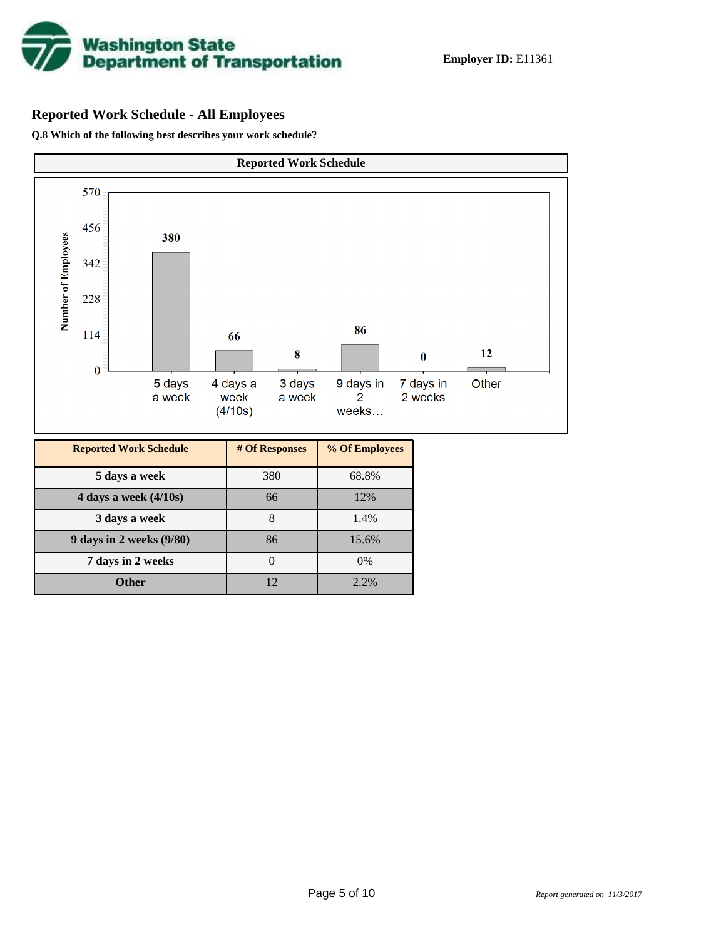

# **Reported Work Schedule - All Employees**

**Q.8 Which of the following best describes your work schedule?**

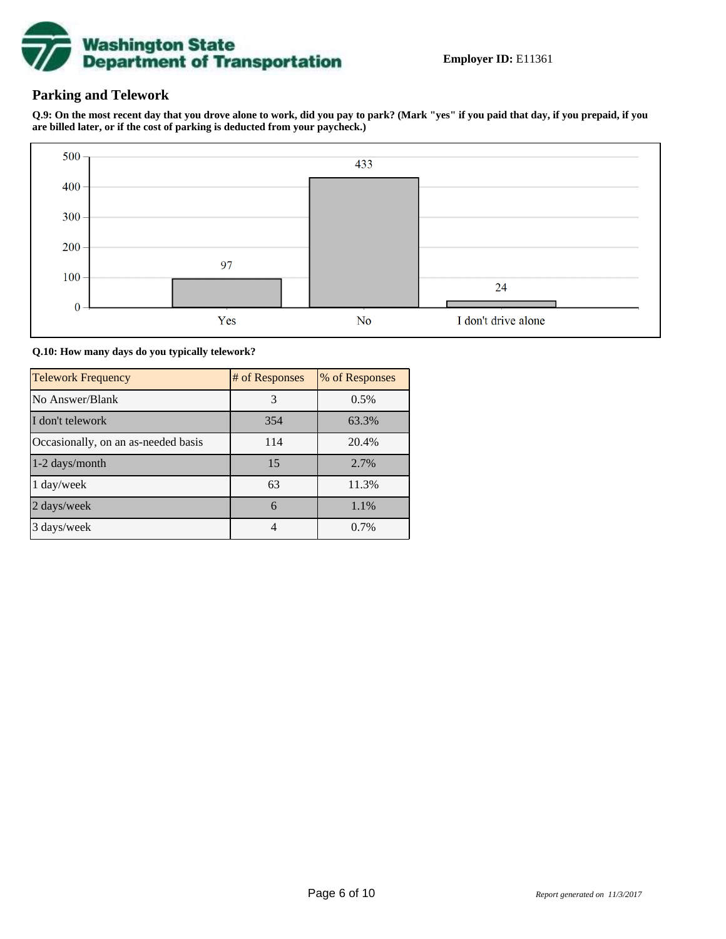

# **Parking and Telework**

**Q.9: On the most recent day that you drove alone to work, did you pay to park? (Mark "yes" if you paid that day, if you prepaid, if you are billed later, or if the cost of parking is deducted from your paycheck.)**



**Q.10: How many days do you typically telework?**

| <b>Telework Frequency</b>           | # of Responses | % of Responses |
|-------------------------------------|----------------|----------------|
| No Answer/Blank                     | 3              | 0.5%           |
| I don't telework                    | 354            | 63.3%          |
| Occasionally, on an as-needed basis | 114            | 20.4%          |
| 1-2 days/month                      | 15             | 2.7%           |
| 1 day/week                          | 63             | 11.3%          |
| 2 days/week                         | 6              | 1.1%           |
| 3 days/week                         |                | 0.7%           |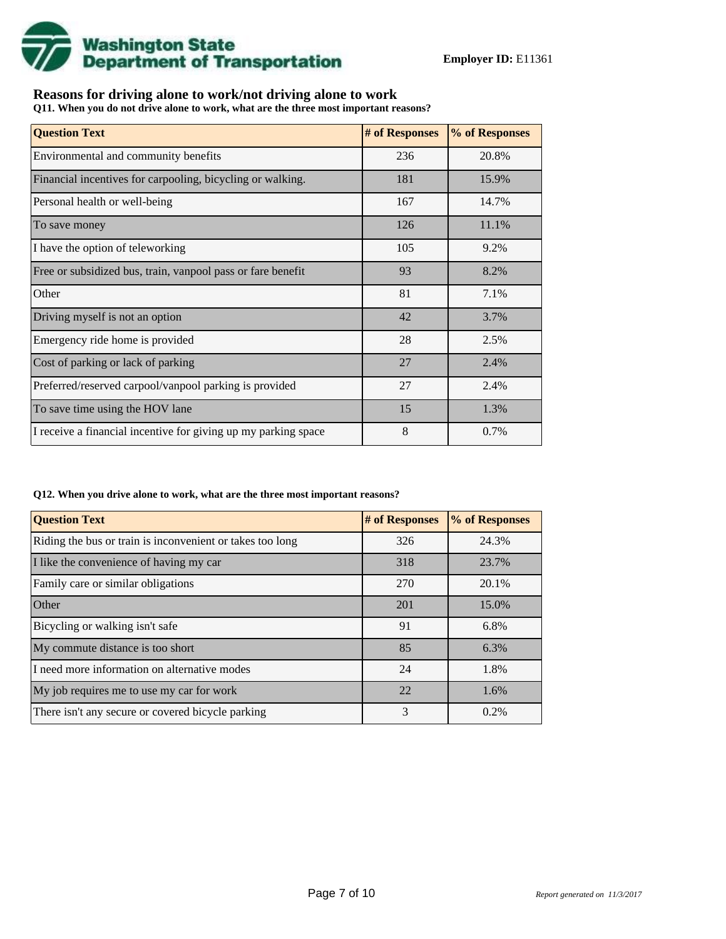

# **Reasons for driving alone to work/not driving alone to work**

**Q11. When you do not drive alone to work, what are the three most important reasons?**

| <b>Question Text</b>                                           | # of Responses | % of Responses |
|----------------------------------------------------------------|----------------|----------------|
| Environmental and community benefits                           | 236            | 20.8%          |
| Financial incentives for carpooling, bicycling or walking.     | 181            | 15.9%          |
| Personal health or well-being                                  | 167            | 14.7%          |
| To save money                                                  | 126            | 11.1%          |
| I have the option of teleworking                               | 105            | 9.2%           |
| Free or subsidized bus, train, vanpool pass or fare benefit    | 93             | 8.2%           |
| Other                                                          | 81             | 7.1%           |
| Driving myself is not an option                                | 42             | 3.7%           |
| Emergency ride home is provided                                | 28             | 2.5%           |
| Cost of parking or lack of parking                             | 27             | 2.4%           |
| Preferred/reserved carpool/vanpool parking is provided         | 27             | 2.4%           |
| To save time using the HOV lane                                | 15             | 1.3%           |
| I receive a financial incentive for giving up my parking space | 8              | 0.7%           |

#### **Q12. When you drive alone to work, what are the three most important reasons?**

| <b>Question Text</b>                                      | # of Responses | % of Responses |
|-----------------------------------------------------------|----------------|----------------|
| Riding the bus or train is inconvenient or takes too long | 326            | 24.3%          |
| I like the convenience of having my car                   | 318            | 23.7%          |
| Family care or similar obligations                        | 270            | 20.1%          |
| Other                                                     | 201            | 15.0%          |
| Bicycling or walking isn't safe                           | 91             | 6.8%           |
| My commute distance is too short                          | 85             | 6.3%           |
| I need more information on alternative modes              | 24             | 1.8%           |
| My job requires me to use my car for work                 | 22             | 1.6%           |
| There isn't any secure or covered bicycle parking         | 3              | 0.2%           |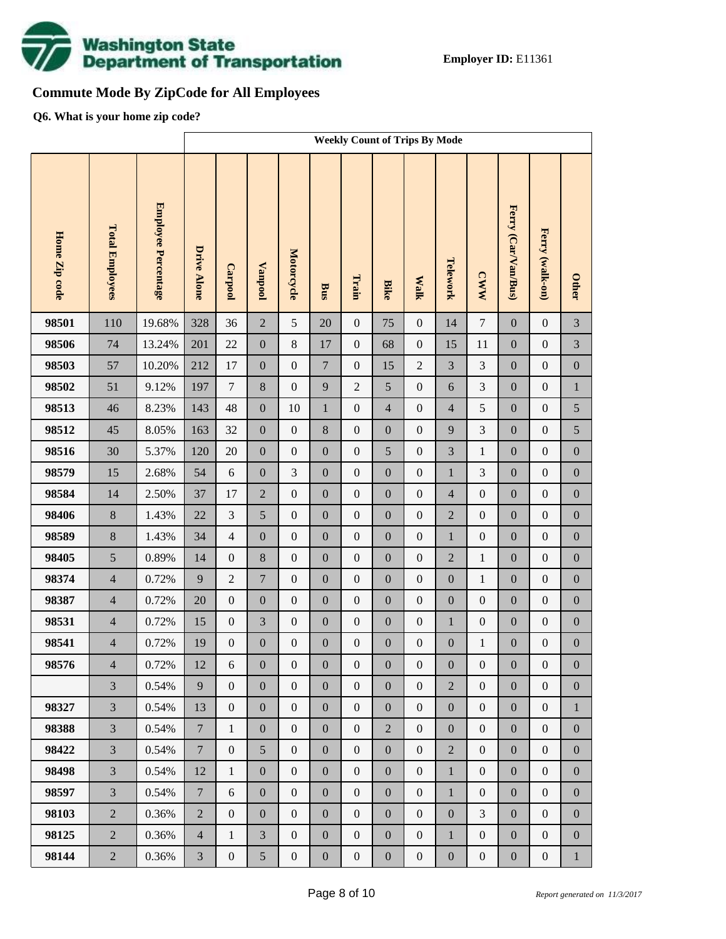

# **Commute Mode By ZipCode for All Employees**

**Q6. What is your home zip code?**

|               |                        |                            |                    | <b>Weekly Count of Trips By Mode</b> |                  |                  |                  |                  |                  |                  |                  |                  |                     |                  |                  |
|---------------|------------------------|----------------------------|--------------------|--------------------------------------|------------------|------------------|------------------|------------------|------------------|------------------|------------------|------------------|---------------------|------------------|------------------|
| Home Zip code | <b>Total Employees</b> | <b>Employee Percentage</b> | <b>Drive Alone</b> | Carpool                              | <b>Vanpool</b>   | Motorcycle       | <b>Bus</b>       | Train            | <b>Bike</b>      | <b>Walk</b>      | Telework         | <b>CWW</b>       | Ferry (Car/Van/Bus) | Ferry (walk-on)  | <b>Other</b>     |
| 98501         | 110                    | 19.68%                     | 328                | 36                                   | $\overline{2}$   | 5                | 20               | $\boldsymbol{0}$ | 75               | $\boldsymbol{0}$ | 14               | $\tau$           | $\mathbf{0}$        | $\boldsymbol{0}$ | 3                |
| 98506         | 74                     | 13.24%                     | 201                | 22                                   | $\boldsymbol{0}$ | $8\,$            | 17               | $\boldsymbol{0}$ | 68               | $\boldsymbol{0}$ | 15               | 11               | $\boldsymbol{0}$    | $\boldsymbol{0}$ | 3                |
| 98503         | 57                     | 10.20%                     | 212                | 17                                   | $\boldsymbol{0}$ | $\boldsymbol{0}$ | $\overline{7}$   | $\boldsymbol{0}$ | 15               | $\overline{c}$   | 3                | $\mathfrak{Z}$   | $\boldsymbol{0}$    | $\boldsymbol{0}$ | $\boldsymbol{0}$ |
| 98502         | 51                     | 9.12%                      | 197                | $\tau$                               | $\,8\,$          | $\boldsymbol{0}$ | 9                | $\overline{2}$   | 5                | $\boldsymbol{0}$ | 6                | 3                | $\boldsymbol{0}$    | $\boldsymbol{0}$ | $\,1$            |
| 98513         | 46                     | 8.23%                      | 143                | 48                                   | $\boldsymbol{0}$ | 10               | $\mathbf{1}$     | $\boldsymbol{0}$ | $\overline{4}$   | $\boldsymbol{0}$ | $\overline{4}$   | 5                | $\boldsymbol{0}$    | $\boldsymbol{0}$ | 5                |
| 98512         | 45                     | 8.05%                      | 163                | 32                                   | $\boldsymbol{0}$ | $\boldsymbol{0}$ | 8                | $\boldsymbol{0}$ | $\overline{0}$   | $\boldsymbol{0}$ | 9                | 3                | $\boldsymbol{0}$    | $\boldsymbol{0}$ | 5                |
| 98516         | 30                     | 5.37%                      | 120                | 20                                   | $\boldsymbol{0}$ | $\boldsymbol{0}$ | $\boldsymbol{0}$ | $\boldsymbol{0}$ | 5                | $\boldsymbol{0}$ | 3                | $\mathbf{1}$     | $\boldsymbol{0}$    | $\boldsymbol{0}$ | $\boldsymbol{0}$ |
| 98579         | 15                     | 2.68%                      | 54                 | $\sqrt{6}$                           | $\boldsymbol{0}$ | 3                | $\boldsymbol{0}$ | $\boldsymbol{0}$ | $\overline{0}$   | $\boldsymbol{0}$ | $\mathbf{1}$     | 3                | $\boldsymbol{0}$    | $\boldsymbol{0}$ | $\boldsymbol{0}$ |
| 98584         | 14                     | 2.50%                      | 37                 | 17                                   | $\overline{2}$   | $\boldsymbol{0}$ | $\boldsymbol{0}$ | $\boldsymbol{0}$ | $\boldsymbol{0}$ | $\boldsymbol{0}$ | $\overline{4}$   | $\boldsymbol{0}$ | $\boldsymbol{0}$    | $\boldsymbol{0}$ | $\boldsymbol{0}$ |
| 98406         | $8\,$                  | 1.43%                      | 22                 | 3                                    | 5                | $\boldsymbol{0}$ | $\boldsymbol{0}$ | $\boldsymbol{0}$ | $\overline{0}$   | $\boldsymbol{0}$ | $\overline{2}$   | $\boldsymbol{0}$ | $\boldsymbol{0}$    | $\boldsymbol{0}$ | $\boldsymbol{0}$ |
| 98589         | $8\,$                  | 1.43%                      | 34                 | $\overline{4}$                       | $\boldsymbol{0}$ | $\boldsymbol{0}$ | $\boldsymbol{0}$ | $\boldsymbol{0}$ | $\boldsymbol{0}$ | $\boldsymbol{0}$ | $\mathbf{1}$     | $\boldsymbol{0}$ | $\boldsymbol{0}$    | $\boldsymbol{0}$ | $\boldsymbol{0}$ |
| 98405         | 5                      | 0.89%                      | 14                 | $\boldsymbol{0}$                     | $\,8\,$          | $\boldsymbol{0}$ | $\boldsymbol{0}$ | $\boldsymbol{0}$ | $\overline{0}$   | $\boldsymbol{0}$ | $\overline{2}$   | $\mathbf{1}$     | $\boldsymbol{0}$    | $\boldsymbol{0}$ | $\boldsymbol{0}$ |
| 98374         | $\overline{4}$         | 0.72%                      | 9                  | $\sqrt{2}$                           | $\boldsymbol{7}$ | $\boldsymbol{0}$ | $\boldsymbol{0}$ | $\boldsymbol{0}$ | $\boldsymbol{0}$ | $\boldsymbol{0}$ | $\boldsymbol{0}$ | $\,1$            | $\boldsymbol{0}$    | $\boldsymbol{0}$ | $\boldsymbol{0}$ |
| 98387         | $\overline{4}$         | 0.72%                      | 20                 | $\boldsymbol{0}$                     | $\boldsymbol{0}$ | $\boldsymbol{0}$ | $\boldsymbol{0}$ | $\boldsymbol{0}$ | $\overline{0}$   | $\boldsymbol{0}$ | $\boldsymbol{0}$ | $\boldsymbol{0}$ | $\boldsymbol{0}$    | $\boldsymbol{0}$ | $\boldsymbol{0}$ |
| 98531         | $\overline{4}$         | 0.72%                      | 15                 | $\boldsymbol{0}$                     | 3                | $\boldsymbol{0}$ | $\boldsymbol{0}$ | $\boldsymbol{0}$ | $\boldsymbol{0}$ | $\boldsymbol{0}$ | $\mathbf{1}$     | $\boldsymbol{0}$ | $\boldsymbol{0}$    | $\boldsymbol{0}$ | $\boldsymbol{0}$ |
| 98541         | $\overline{4}$         | 0.72%                      | 19                 | $\boldsymbol{0}$                     | $\boldsymbol{0}$ | $\boldsymbol{0}$ | $\boldsymbol{0}$ | $\boldsymbol{0}$ | $\mathbf{0}$     | $\boldsymbol{0}$ | $\boldsymbol{0}$ | $\mathbf{1}$     | $\boldsymbol{0}$    | $\boldsymbol{0}$ | $\boldsymbol{0}$ |
| 98576         | $\overline{4}$         | 0.72%                      | 12                 | 6                                    | $\boldsymbol{0}$ | $\boldsymbol{0}$ | $\boldsymbol{0}$ | $\boldsymbol{0}$ | $\boldsymbol{0}$ | $\boldsymbol{0}$ | $\boldsymbol{0}$ | $\boldsymbol{0}$ | $\boldsymbol{0}$    | $\boldsymbol{0}$ | $\boldsymbol{0}$ |
|               | $\overline{3}$         | 0.54%                      | 9                  | $\overline{0}$                       | $\boldsymbol{0}$ | $\overline{0}$   | $\overline{0}$   | $\boldsymbol{0}$ | $\overline{0}$   | $\boldsymbol{0}$ | $\overline{2}$   | $\boldsymbol{0}$ | $\boldsymbol{0}$    | $\boldsymbol{0}$ | $\overline{0}$   |
| 98327         | $\overline{3}$         | 0.54%                      | 13                 | $\boldsymbol{0}$                     | $\boldsymbol{0}$ | $\boldsymbol{0}$ | $\overline{0}$   | $\boldsymbol{0}$ | $\overline{0}$   | $\boldsymbol{0}$ | $\boldsymbol{0}$ | $\boldsymbol{0}$ | $\boldsymbol{0}$    | $\boldsymbol{0}$ | $\mathbf{1}$     |
| 98388         | $\overline{3}$         | 0.54%                      | $\overline{7}$     | $\mathbf{1}$                         | $\boldsymbol{0}$ | $\boldsymbol{0}$ | $\boldsymbol{0}$ | $\boldsymbol{0}$ | $\overline{2}$   | $\boldsymbol{0}$ | $\boldsymbol{0}$ | $\boldsymbol{0}$ | $\boldsymbol{0}$    | $\boldsymbol{0}$ | $\boldsymbol{0}$ |
| 98422         | $\overline{3}$         | 0.54%                      | $\overline{7}$     | $\boldsymbol{0}$                     | 5                | $\overline{0}$   | $\overline{0}$   | $\mathbf{0}$     | $\overline{0}$   | $\boldsymbol{0}$ | $\overline{2}$   | $\boldsymbol{0}$ | $\boldsymbol{0}$    | $\boldsymbol{0}$ | $\boldsymbol{0}$ |
| 98498         | $\overline{3}$         | 0.54%                      | 12                 | $\mathbf{1}$                         | $\boldsymbol{0}$ | $\boldsymbol{0}$ | $\boldsymbol{0}$ | $\boldsymbol{0}$ | $\boldsymbol{0}$ | $\boldsymbol{0}$ | $\mathbf{1}$     | $\boldsymbol{0}$ | $\boldsymbol{0}$    | $\boldsymbol{0}$ | $\boldsymbol{0}$ |
| 98597         | $\overline{3}$         | 0.54%                      | $\overline{7}$     | 6                                    | $\boldsymbol{0}$ | $\overline{0}$   | $\overline{0}$   | $\mathbf{0}$     | $\overline{0}$   | $\boldsymbol{0}$ | $\mathbf{1}$     | $\boldsymbol{0}$ | $\boldsymbol{0}$    | $\boldsymbol{0}$ | $\boldsymbol{0}$ |
| 98103         | $\overline{2}$         | 0.36%                      | $\overline{2}$     | $\boldsymbol{0}$                     | $\boldsymbol{0}$ | $\boldsymbol{0}$ | $\boldsymbol{0}$ | $\boldsymbol{0}$ | $\boldsymbol{0}$ | $\boldsymbol{0}$ | $\boldsymbol{0}$ | 3                | $\boldsymbol{0}$    | $\boldsymbol{0}$ | $\boldsymbol{0}$ |
| 98125         | $\overline{2}$         | 0.36%                      | $\overline{4}$     | $\mathbf{1}$                         | $\overline{3}$   | $\overline{0}$   | $\overline{0}$   | $\boldsymbol{0}$ | $\overline{0}$   | $\boldsymbol{0}$ | $\mathbf{1}$     | $\boldsymbol{0}$ | $\boldsymbol{0}$    | $\boldsymbol{0}$ | $\boldsymbol{0}$ |
| 98144         | $\overline{2}$         | 0.36%                      | $\mathfrak{Z}$     | $\boldsymbol{0}$                     | 5                | $\boldsymbol{0}$ | $\boldsymbol{0}$ | $\boldsymbol{0}$ | $\boldsymbol{0}$ | $\boldsymbol{0}$ | $\boldsymbol{0}$ | $\boldsymbol{0}$ | $\boldsymbol{0}$    | $\boldsymbol{0}$ | $\mathbf{1}$     |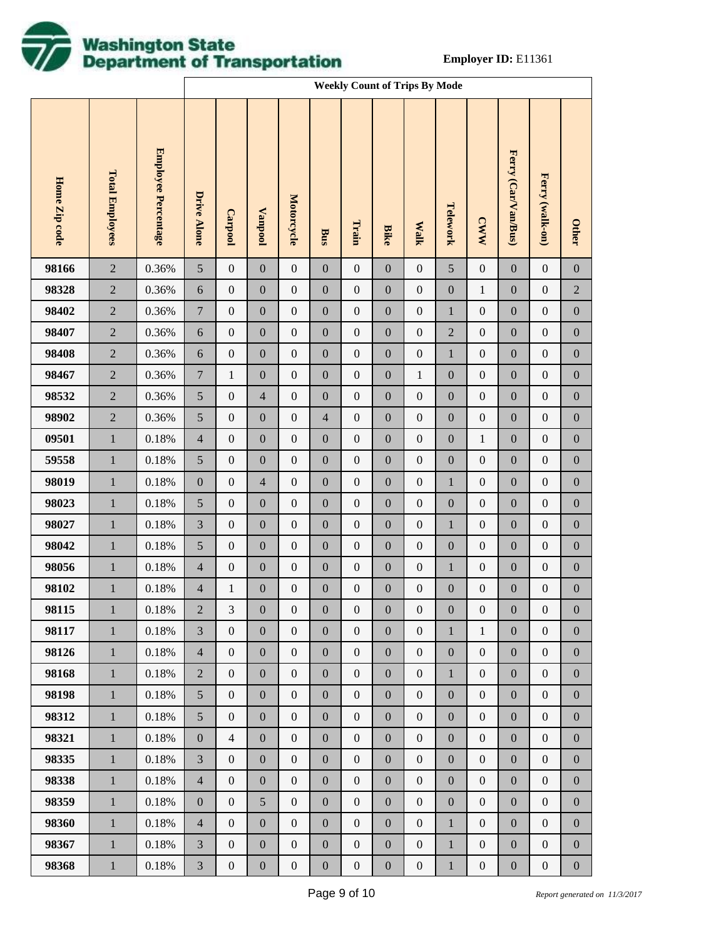

|               |                        |                     |                    | <b>Weekly Count of Trips By Mode</b> |                  |                   |                  |                  |                  |                  |                  |                  |                     |                  |                  |
|---------------|------------------------|---------------------|--------------------|--------------------------------------|------------------|-------------------|------------------|------------------|------------------|------------------|------------------|------------------|---------------------|------------------|------------------|
| Home Zip code | <b>Total Employees</b> | Employee Percentage | <b>Drive Alone</b> | Carpool                              | Vanpool          | <b>Motorcycle</b> | Bus              | Train            | <b>Bike</b>      | <b>Walk</b>      | Telework         | <b>CWW</b>       | Ferry (Car/Van/Bus) | Ferry (walk-on)  | <b>Other</b>     |
| 98166         | $\sqrt{2}$             | 0.36%               | 5                  | $\boldsymbol{0}$                     | $\boldsymbol{0}$ | $\boldsymbol{0}$  | $\boldsymbol{0}$ | $\boldsymbol{0}$ | $\boldsymbol{0}$ | $\boldsymbol{0}$ | $\sqrt{5}$       | $\boldsymbol{0}$ | $\boldsymbol{0}$    | $\boldsymbol{0}$ | $\boldsymbol{0}$ |
| 98328         | $\sqrt{2}$             | 0.36%               | $\sqrt{6}$         | $\boldsymbol{0}$                     | $\boldsymbol{0}$ | $\boldsymbol{0}$  | $\boldsymbol{0}$ | $\boldsymbol{0}$ | $\boldsymbol{0}$ | $\boldsymbol{0}$ | $\boldsymbol{0}$ | $\mathbf{1}$     | $\boldsymbol{0}$    | $\boldsymbol{0}$ | $\sqrt{2}$       |
| 98402         | $\sqrt{2}$             | 0.36%               | $\boldsymbol{7}$   | $\boldsymbol{0}$                     | $\boldsymbol{0}$ | $\boldsymbol{0}$  | $\boldsymbol{0}$ | $\boldsymbol{0}$ | $\boldsymbol{0}$ | $\boldsymbol{0}$ | $\mathbf{1}$     | $\boldsymbol{0}$ | $\boldsymbol{0}$    | $\boldsymbol{0}$ | $\boldsymbol{0}$ |
| 98407         | $\sqrt{2}$             | 0.36%               | $\sqrt{6}$         | $\boldsymbol{0}$                     | $\boldsymbol{0}$ | $\boldsymbol{0}$  | $\boldsymbol{0}$ | $\boldsymbol{0}$ | $\boldsymbol{0}$ | $\boldsymbol{0}$ | $\sqrt{2}$       | $\boldsymbol{0}$ | $\boldsymbol{0}$    | $\boldsymbol{0}$ | $\boldsymbol{0}$ |
| 98408         | $\sqrt{2}$             | 0.36%               | $\sqrt{6}$         | $\boldsymbol{0}$                     | $\boldsymbol{0}$ | $\boldsymbol{0}$  | $\boldsymbol{0}$ | $\boldsymbol{0}$ | $\boldsymbol{0}$ | $\boldsymbol{0}$ | $\mathbf{1}$     | $\boldsymbol{0}$ | $\boldsymbol{0}$    | $\boldsymbol{0}$ | $\boldsymbol{0}$ |
| 98467         | $\sqrt{2}$             | 0.36%               | $\boldsymbol{7}$   | $\mathbf{1}$                         | $\boldsymbol{0}$ | $\boldsymbol{0}$  | $\boldsymbol{0}$ | $\boldsymbol{0}$ | $\boldsymbol{0}$ | $\mathbf{1}$     | $\boldsymbol{0}$ | $\boldsymbol{0}$ | $\boldsymbol{0}$    | $\boldsymbol{0}$ | $\boldsymbol{0}$ |
| 98532         | $\sqrt{2}$             | 0.36%               | $\sqrt{5}$         | $\boldsymbol{0}$                     | $\overline{4}$   | $\boldsymbol{0}$  | $\boldsymbol{0}$ | $\boldsymbol{0}$ | $\boldsymbol{0}$ | $\boldsymbol{0}$ | $\boldsymbol{0}$ | $\boldsymbol{0}$ | $\boldsymbol{0}$    | $\boldsymbol{0}$ | $\boldsymbol{0}$ |
| 98902         | $\sqrt{2}$             | 0.36%               | $\sqrt{5}$         | $\boldsymbol{0}$                     | $\boldsymbol{0}$ | $\boldsymbol{0}$  | $\overline{4}$   | $\boldsymbol{0}$ | $\boldsymbol{0}$ | $\boldsymbol{0}$ | $\boldsymbol{0}$ | $\boldsymbol{0}$ | $\boldsymbol{0}$    | $\boldsymbol{0}$ | $\boldsymbol{0}$ |
| 09501         | $\mathbf 1$            | 0.18%               | $\overline{4}$     | $\boldsymbol{0}$                     | $\boldsymbol{0}$ | $\boldsymbol{0}$  | $\boldsymbol{0}$ | $\boldsymbol{0}$ | $\boldsymbol{0}$ | $\boldsymbol{0}$ | $\boldsymbol{0}$ | $\mathbf{1}$     | $\boldsymbol{0}$    | $\boldsymbol{0}$ | $\boldsymbol{0}$ |
| 59558         | $\,1$                  | 0.18%               | $\sqrt{5}$         | $\boldsymbol{0}$                     | $\boldsymbol{0}$ | $\boldsymbol{0}$  | $\boldsymbol{0}$ | $\boldsymbol{0}$ | $\boldsymbol{0}$ | $\boldsymbol{0}$ | $\boldsymbol{0}$ | $\boldsymbol{0}$ | $\boldsymbol{0}$    | $\boldsymbol{0}$ | $\boldsymbol{0}$ |
| 98019         | $\,1$                  | 0.18%               | $\boldsymbol{0}$   | $\boldsymbol{0}$                     | $\overline{4}$   | $\boldsymbol{0}$  | $\boldsymbol{0}$ | $\boldsymbol{0}$ | $\boldsymbol{0}$ | $\boldsymbol{0}$ | $\,1$            | $\boldsymbol{0}$ | $\boldsymbol{0}$    | $\boldsymbol{0}$ | $\boldsymbol{0}$ |
| 98023         | $\,1$                  | 0.18%               | $\sqrt{5}$         | $\boldsymbol{0}$                     | $\boldsymbol{0}$ | $\boldsymbol{0}$  | $\boldsymbol{0}$ | $\boldsymbol{0}$ | $\boldsymbol{0}$ | $\boldsymbol{0}$ | $\boldsymbol{0}$ | $\boldsymbol{0}$ | $\boldsymbol{0}$    | $\boldsymbol{0}$ | $\boldsymbol{0}$ |
| 98027         | $\,1$                  | 0.18%               | $\mathfrak{Z}$     | $\boldsymbol{0}$                     | $\boldsymbol{0}$ | $\boldsymbol{0}$  | $\boldsymbol{0}$ | $\boldsymbol{0}$ | $\boldsymbol{0}$ | $\boldsymbol{0}$ | $\,1$            | $\boldsymbol{0}$ | $\boldsymbol{0}$    | $\boldsymbol{0}$ | $\boldsymbol{0}$ |
| 98042         | $\,1$                  | 0.18%               | $\sqrt{5}$         | $\boldsymbol{0}$                     | $\boldsymbol{0}$ | $\boldsymbol{0}$  | $\boldsymbol{0}$ | $\boldsymbol{0}$ | $\boldsymbol{0}$ | $\boldsymbol{0}$ | $\boldsymbol{0}$ | $\boldsymbol{0}$ | $\boldsymbol{0}$    | $\boldsymbol{0}$ | $\boldsymbol{0}$ |
| 98056         | $\,1$                  | 0.18%               | $\overline{4}$     | $\boldsymbol{0}$                     | $\boldsymbol{0}$ | $\boldsymbol{0}$  | $\boldsymbol{0}$ | $\boldsymbol{0}$ | $\boldsymbol{0}$ | $\boldsymbol{0}$ | $\mathbf{1}$     | $\boldsymbol{0}$ | $\boldsymbol{0}$    | $\boldsymbol{0}$ | $\boldsymbol{0}$ |
| 98102         | $\,1$                  | 0.18%               | $\overline{4}$     | $\mathbf{1}$                         | $\boldsymbol{0}$ | $\boldsymbol{0}$  | $\boldsymbol{0}$ | $\boldsymbol{0}$ | $\boldsymbol{0}$ | $\boldsymbol{0}$ | $\boldsymbol{0}$ | $\boldsymbol{0}$ | $\boldsymbol{0}$    | $\boldsymbol{0}$ | $\boldsymbol{0}$ |
| 98115         | $\mathbf{1}$           | $0.18\%$            | $\overline{c}$     | 3                                    | $\boldsymbol{0}$ | $\boldsymbol{0}$  | $\boldsymbol{0}$ | $\boldsymbol{0}$ | $\boldsymbol{0}$ | $\boldsymbol{0}$ | $\boldsymbol{0}$ | $\boldsymbol{0}$ | $\boldsymbol{0}$    | $\boldsymbol{0}$ | $\boldsymbol{0}$ |
| 98117         | $\mathbf{1}$           | 0.18%               | 3                  | $\overline{0}$                       | $\overline{0}$   | $\overline{0}$    | $\overline{0}$   | $\boldsymbol{0}$ | $\mathbf{0}$     | $\mathbf{0}$     | $\mathbf{1}$     | $\mathbf{1}$     | $\mathbf{0}$        | $\overline{0}$   | $\mathbf{0}$     |
| 98126         | $\mathbf{1}$           | 0.18%               | $\overline{4}$     | $\overline{0}$                       | $\boldsymbol{0}$ | $\boldsymbol{0}$  | $\boldsymbol{0}$ | $\boldsymbol{0}$ | $\boldsymbol{0}$ | $\boldsymbol{0}$ | $\boldsymbol{0}$ | $\boldsymbol{0}$ | $\boldsymbol{0}$    | $\mathbf{0}$     | $\boldsymbol{0}$ |
| 98168         | $\mathbf{1}$           | 0.18%               | $\overline{2}$     | $\overline{0}$                       | $\mathbf{0}$     | $\boldsymbol{0}$  | $\boldsymbol{0}$ | $\boldsymbol{0}$ | $\mathbf{0}$     | $\overline{0}$   | $\mathbf{1}$     | $\boldsymbol{0}$ | $\boldsymbol{0}$    | $\mathbf{0}$     | $\boldsymbol{0}$ |
| 98198         | $\mathbf{1}$           | 0.18%               | $5\overline{)}$    | $\overline{0}$                       | $\boldsymbol{0}$ | $\boldsymbol{0}$  | $\boldsymbol{0}$ | $\boldsymbol{0}$ | $\mathbf{0}$     | $\boldsymbol{0}$ | $\boldsymbol{0}$ | $\boldsymbol{0}$ | $\boldsymbol{0}$    | $\mathbf{0}$     | $\boldsymbol{0}$ |
| 98312         | $\mathbf{1}$           | 0.18%               | 5 <sup>5</sup>     | $\overline{0}$                       | $\mathbf{0}$     | $\boldsymbol{0}$  | $\boldsymbol{0}$ | $\boldsymbol{0}$ | $\mathbf{0}$     | $\overline{0}$   | $\boldsymbol{0}$ | $\boldsymbol{0}$ | $\boldsymbol{0}$    | $\mathbf{0}$     | $\boldsymbol{0}$ |
| 98321         | $\mathbf{1}$           | 0.18%               | $\boldsymbol{0}$   | $\overline{4}$                       | $\boldsymbol{0}$ | $\boldsymbol{0}$  | $\boldsymbol{0}$ | $\boldsymbol{0}$ | $\mathbf{0}$     | $\boldsymbol{0}$ | $\boldsymbol{0}$ | $\boldsymbol{0}$ | $\boldsymbol{0}$    | $\mathbf{0}$     | $\boldsymbol{0}$ |
| 98335         | $\mathbf{1}$           | 0.18%               | 3                  | $\overline{0}$                       | $\mathbf{0}$     | $\boldsymbol{0}$  | $\boldsymbol{0}$ | $\boldsymbol{0}$ | $\mathbf{0}$     | $\overline{0}$   | $\boldsymbol{0}$ | $\overline{0}$   | $\boldsymbol{0}$    | $\overline{0}$   | $\boldsymbol{0}$ |
| 98338         | $\mathbf{1}$           | 0.18%               | $\overline{4}$     | $\mathbf{0}$                         | $\mathbf{0}$     | $\boldsymbol{0}$  | $\boldsymbol{0}$ | $\boldsymbol{0}$ | $\mathbf{0}$     | $\boldsymbol{0}$ | $\boldsymbol{0}$ | $\boldsymbol{0}$ | $\boldsymbol{0}$    | $\mathbf{0}$     | $\boldsymbol{0}$ |
| 98359         | $\mathbf{1}$           | 0.18%               | $\mathbf{0}$       | $\overline{0}$                       | 5                | $\boldsymbol{0}$  | $\boldsymbol{0}$ | $\boldsymbol{0}$ | $\mathbf{0}$     | $\overline{0}$   | $\boldsymbol{0}$ | $\boldsymbol{0}$ | $\boldsymbol{0}$    | $\overline{0}$   | $\boldsymbol{0}$ |
| 98360         | $\mathbf{1}$           | 0.18%               | $\overline{4}$     | $\overline{0}$                       | $\mathbf{0}$     | $\boldsymbol{0}$  | $\boldsymbol{0}$ | $\boldsymbol{0}$ | $\mathbf{0}$     | $\boldsymbol{0}$ | $\mathbf{1}$     | $\boldsymbol{0}$ | $\boldsymbol{0}$    | $\boldsymbol{0}$ | $\boldsymbol{0}$ |
| 98367         | $\mathbf{1}$           | 0.18%               | 3                  | $\mathbf{0}$                         | $\boldsymbol{0}$ | $\boldsymbol{0}$  | $\boldsymbol{0}$ | $\boldsymbol{0}$ | $\boldsymbol{0}$ | $\boldsymbol{0}$ | $\mathbf{1}$     | $\boldsymbol{0}$ | $\boldsymbol{0}$    | $\boldsymbol{0}$ | $\boldsymbol{0}$ |
| 98368         | $\mathbf{1}$           | $0.18\%$            | $\mathfrak{Z}$     | $\boldsymbol{0}$                     | $\boldsymbol{0}$ | $\boldsymbol{0}$  | $\boldsymbol{0}$ | $\boldsymbol{0}$ | $\boldsymbol{0}$ | $\boldsymbol{0}$ | $\mathbf{1}$     | $\boldsymbol{0}$ | $\boldsymbol{0}$    | $\boldsymbol{0}$ | $\boldsymbol{0}$ |